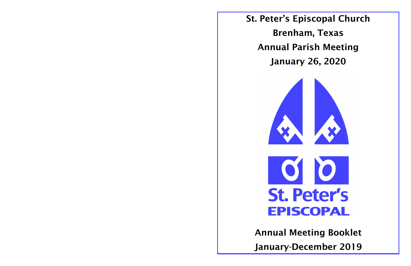

# St. Peter's Episcopal Church Brenham, Texas Annual Parish Meeting January 26, 2020

# Annual Meeting Booklet January-December 2019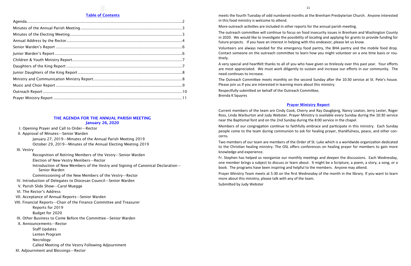## THE AGENDA FOR THE ANNUAL PARISH MEETING January 26, 2020

- I. Opening Prayer and Call to Order—Rector
- II. Approval of Minutes—Senior Warden
	- January 27, 2019—Minutes of the Annual Parish Meeting 2019
	- October 29, 2019—Minutes of the Annual Electing Meeting 2019
- III. Vestry
	- Recognition of Retiring Members of the Vestry—Senior Warden
	- Election of New Vestry Members—Rector
	- Introduction of New Members of the Vestry and Signing of Canonical Declaration— Senior Warden
	- Commissioning of the New Members of the Vestry—Rector
- IV. Introduction of Delegates to Diocesan Council—Senior Warden
- V. Parish Slide Show—Carol Muegge
- VI. The Rector's Address
- VII. Acceptance of Annual Reports—Senior Warden
- VIII. Financial Reports—Chair of the Finance Committee and Treasurer Reports for 2019
	- Budget for 2020
- IX. Other Business to Come Before the Committee—Senior Warden
- X. Announcements—Rector
	- Staff Updates
		- Lenten Program
		- Necrology
	- Called Meeting of the Vestry Following Adjournment
- XI. Adjournment and Blessings—Rector

# Table of Contents

# Prayer Ministry Report

Current members of the team are Cindy Cook, Cherry and Ray Daugbjerg, Nancy Leaton, Jerry Lester, Roger Ross, Linda Warburton and Judy Webster. Prayer Ministry is available every Sunday during the 10:30 service near the Baptismal font and on the 2nd Sunday during the 8:00 service in the chapel. Members of our congregation continue to faithfully embrace and participate in this ministry. Each Sunday people come to the team during communion to ask for healing prayer, thankfulness, peace, and other concerns.

Two members of our team are members of the Order of St. Luke which is a worldwide organization dedicated to the Christian healing ministry. The OSL offers conferences on healing prayer for members to gain more knowledge and experience.

Fr. Stephen has helped us reorganize our monthly meetings and deepen the discussions. Each Wednesday, one member brings a subject to discuss or learn about. It might be a Scripture, a poem, a story, a song, or a book. The programs have been inspiring and helpful to the members. Anyone may attend. Prayer Ministry Team meets at 5:30 on the first Wednesday of the month in the library. If you want to learn more about this ministry, please talk with any of the team. Submitted by Judy Webster

meets the fourth Tuesday of odd numbered months at the Brenham Presbyterian Church. Anyone interested in this food ministry is welcome to attend.

More outreach activities are included in other reports for the annual parish meeting.

The outreach committee will continue to focus on food insecurity issues in Brenham and Washington County in 2020. We would like to investigate the possibility of locating and applying for grants to provide funding for future projects. If you have an interest in helping with this endeavor, please let us know.

Volunteers are always needed for the emergency food pantry, the BHA pantry and the mobile food drop. Contact someone on the outreach committee to learn how you might volunteer on a one time basis or routinely.

A very special and heartfelt thanks to all of you who have given so tirelessly over this past year. Your efforts are most appreciated. We must work diligently to sustain and increase our efforts in our community. The need continues to increase.

The Outreach Committee meets monthly on the second Sunday after the 10:30 service at St. Pete's house. Please join us if you are interested in learning more about this ministry. Respectfully submitted on behalf of the Outreach Committee, Brenda K Squyres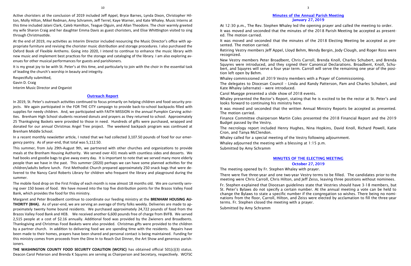# Outreach Report

In 2019, St. Peter's outreach activities continued to focus primarily on helping children and food security projects. We again participated in the FOR THE CITY campaign to provide back-to-school backpacks filled with supplies for needy children. And, we participated with FAITH MISSION in the annual Pumpkin Carving activities. Brenham High School students received donuts and prayers as they returned to school. Approximately 25 Thanksgiving Baskets were provided to those in need. Hundreds of gifts were purchased, wrapped and donated for our annual Christmas Angel Tree project. The weekend backpack program was continued at Brenham Middle School.

In a recent monthly newsletter article, I noted that we had collected 3,107.50 pounds of food for our emergency pantry. As of year-end, that total was 5,112.50.

This summer, from July 29th-August 9th, we partnered with other churches and organizations to provide meals at the Brenham Housing Authority. We served over 431 meals with countless sides and desserts. We had books and goodie bags to give away every day. It is important to note that we served many more elderly people than we have in the past. This summer (2020) perhaps we can have some planned activities for the children/adults before lunch. First Methodist Church prepared approximately 250 snack bags that were delivered to the Nancy Carol Roberts Library for children who frequent the library and playground during the summer.

The mobile food drop on the First Friday of each month is now almost 18 months old. We are currently serving over 150 boxes of food. We have moved into the top five distribution points for the Brazos Valley Food Bank, which provides the food for this ministry.

Margaret and Peter Broadbent continue to coordinate our feeding ministry at the **BRENHAM HOUSING AU-THORITY (BHA).** As of year-end, we are serving an average of thirty folks weekly. Deliveries are made to approximately twenty home bound residents. We purchased approximately 24,722 pounds of food from the Brazos Valley Food Bank and HEB. We received another 6,600 pounds free of charge from BVFB. We served 2,515 people at a cost of \$2.16 annually. Additional food was provided by the Zwieners and Broadbents. Thanksgiving and Christmas Food Baskets were also provided. Christmas gifts were provided to the children by a partner church. In addition to delivering food we are spending time with the residents. Repairs have been made to their homes, prayers have been shared and personal contact is being maintained. Funding for this ministry comes from proceeds from the Dine In to Reach Out Dinner, the Art Show and generous parishioners.

**THE WASHINGTON COUNTY FOOD SECURITY COALITION (WCFSC)** has obtained official 501(c)(3) status. Deacon Carol Peterson and Brenda K Squyres are serving as Chairperson and Secretary, respectively. WCFSC

Active choristers at the conclusion of 2019 included Jeff Appel, Bryce Barnes, Lynda Dixon, Christopher Hilton, Molly Hilton, Mikel Redman, Amy Schramm, Jeff Terrel, Kaye Warner, and Kate Whaley. Music Interns at this time included Jalani Clark, Caleb Hamilton, Teague Olguin, and Allan Theodore. The choir warmly greeted my wife Sharon Craig and her daughter Emma Davis as guest choristers, and Elise Whittington visited to sing through Christmastide.

At the end of 2019, my activities as Interim Director included resourcing the Music Director's office with appropriate furniture and revising the chorister music distribution and storage procedures. I also purchased the Oxford Book of Flexible Anthems. Going into 2020, I intend to continue to enhance the music library with new music and implement best practices for the storage and cataloging of the library. I am also exploring avenues for other musical performances for guests and parishioners.

It is my great joy to be with St. Peter's at this time, and particularly to join with the choir in the essential task of leading the church's worship in beauty and integrity.

Respectfully submitted, Gavin D. Craig Interim Music Director and Organist

# Minutes of the Annual Parish Meeting January 27, 2019

At 12:30 p.m., The Rev. Stephen Whaley led the opening prayer and called the meeting to order. It was moved and seconded that the minutes of the 2018 Parish Meeting be accepted as presented. The motion carried.

It was moved and seconded that the minutes of the 2018 Electing Meeting be accepted as presented. The motion carried.

Retiring Vestry members Jeff Appel, Lloyd Behm, Wendy Bergin, Jody Clough, and Roger Ross were recognized.

New Vestry members Peter Broadbent, Chris Carroll, Brenda Knoll, Charles Schubert, and Brenda Squyres were introduced, and they signed their Canonical Declarations. Broadbent, Knoll, Schubert, and Squyres will serve a four year term. Carroll will serve the remaining one year of the position left open by Behm.

Whaley commissioned all 2019 Vestry members with a Prayer of Commissioning. The delegates to Diocesan Council – Linda and Randy Patterson, Pam and Charles Schubert, and

Kate Whaley (alternate) – were introduced.

Carol Muegge presented a slide show of 2018 events. Whaley presented the Rector's Report, stating that he is excited to be the rector at St. Peter's and looks forward to continuing his ministry here.

It was moved and seconded that the written Annual Ministry Reports be accepted as presented. The motion carried.

Finance Committee chairperson Martin Coles presented the 2018 Financial Report and the 2019 Budget passed by the Vestry.

The necrology report included Henry Hughes, Nina Hopkins, David Knoll, Richard Powell, Katie Cron, and Tanya McClendon.

Whaley called for a special meeting of the Vestry following adjournment. Whaley adjourned the meeting with a blessing at 1:15 p.m. Submitted by Amy Schramm

# MINUTES OF THE ELECTING MEETING October 27, 2019

The meeting opened by Fr. Stephen Whaley with prayer. There were five three-year and one two-year Vestry terms to be filled. The candidates prior to the meeting were Chris Carroll, Chris Hilton, and Jeff Zeiss, leaving three positions without nominees.

Fr. Stephen explained that Diocesan guidelines state that Vestries should have 3-18 members, but St. Peter's Bylaws do not specify a certain number. At the annual meeting a vote can be held to change the Bylaws to state a specific number if the congregation so wishes. There being no nominations from the floor, Carroll, Hilton, and Zeiss were elected by acclamation to fill the three-year terms. Fr. Stephen closed the meeting with a prayer.

Submitted by Amy Schramm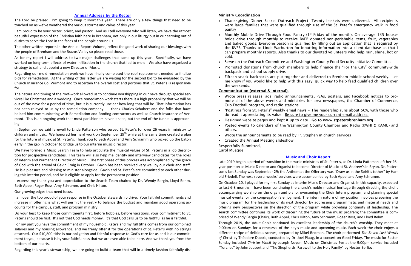## Annual Address by the Rector

The Lord be praised. I'm going to keep it short this year. There are only a few things that need to be touched on as we've weathered the various storms and calms of this year.

I am proud to be your rector, priest, and pastor. And as I tell everyone who will listen, we have the utmost beautiful expression of the Christian faith here in Brenham, not only in our liturgy but in our carrying out of duties to serve the Lord in the faces of the people around us.

The other written reports in the Annual Report Volume, reflect the good work of sharing our blessings with the people of Brenham and the Brazos Valley so please read those.

As for my report I will address to two major challenges that came up this year. Specifically, we have worked on long-term effects of water infiltration in the church that led to mold. We also have organized a strategy to call and appoint a new Director of Music.

Regarding our mold remediation work we have finally completed the roof replacement needed to finalize bids for remediation. At the writing of this letter we are waiting for the second bid to be evaluated by the Church Insurance Co. Vermont and to ascertain the overall cost and portions that St. Peter's is responsible for.

The nature and timing of the roof-work allowed us to continue worshipping in our nave through special services like Christmas and a wedding. Once remediation work starts there is a high probability that we will be out of the nave for a period of time, but it is currently unclear how long that will be. That information has not been relayed to us by the remediation company. I thank Charles Schubert and the folks that have helped him communicating with Remediation and Roofing contractors as well as Church Insurance of Vermont. This is an ongoing work that most parishioners haven't seen, but the end of the tunnel is approaching.

In September we said farewell to Linda Patterson who served St. Peter's for over 26 years in ministry to children and music. We honored her hard work on September  $29<sup>th</sup>$  while at the same time created a plan for the future of music at St. Peter's. Thank you to Beth Appel and Amy Schramm who picked up the baton early in the gap in October to bridge us to our interim music director.

We have formed a Music Search Team to help articulate the musical values of St. Peter's in a job description for prospective candidates. This team will also help me identify and interview candidates for the roles of Interim and Permanent Director of Music. The first phase of this process was accomplished by the grace of God with the arrival of Gavin Craig in October. Gavin has been received very well by our choir and staff. He is a pleasure and blessing to minister alongside. Gavin and St. Peter's are committed to each other during this interim period, and he is eligible to apply for the permanent position.

I express my thank you and appreciation to the Search Team chaired by Dr. Wendy Bergin, Lloyd Behm, Beth Appel, Roger Ross, Amy Schramm, and Chris Hilton.

Our growing edges that need focus.

I am over the top proud of your response in the October stewardship drive. Your faithful commitments and increase in offering is what will permit the vestry to balance the budget and maintain good operating accounts for the campus, staff, and program ministry.

• Monthly Mobile Drive Through Food Pantry (1<sup>st</sup> Friday of the month). On average 135 households drive through monthly to receive BVFB donated non-perishable items, fruit, vegetables and baked goods. Everyone person is qualified by filling out an application that is required by the BVFB. Thanks to Linda Warburton for inputting information into a client database so that I can prepare monthly reports. Also thanks to our devoted volunteers who help rain, shine, hot or

Do your best to keep those commitments first, before hobbies, before vacations, your commitment to St. Peter's should be first. It's not that God needs money. It's that God calls us to be faithful as he is faithful.

For my part you have the commitment of my household. Kate's and my full tithe comes from our combined salaries and my housing allowance, and we freely offer it for the operations of St. Peter's with no strings attached. Our \$10,800 tithe is our obligation and faithful response to God's care for us and is our commitment to you, because it is by your faithfulness that we are even able to be here. And we thank you from the bottom of our hearts.

Regarding this year's stewardship, we are going to build a team that will in a timely fashion faithfully dis-

9

# Music and Choir Report

Late 2019 began a period of transition in the music ministries of St. Peter's, as Dr. Linda Patterson left her 26 year position as Music Director and Organist to become Director of Music at St. Andrew's in Bryan. Dr. Patterson's last Sunday was September 29; the Anthem at the Offertory was "Draw us in the Spirit's tether" by Harold Friedell. The next several weeks' services were accompanied by Beth Appel and Amy Schramm.

On October 20, I played for my first Sunday as Interim Music Director and Organist. In this capacity, expected to last 6-8 months, I have been continuing the church's noble musical heritage through directing the choir, accompanying worship on the organ and piano, overseeing the Choir Intern program, and planning special musical events for the congregation's enjoyment. The interim nature of my position involves preparing the music program for the leadership of its next director by addressing programmatic and material needs and offering new perspectives on the direction of the program while providing continuity of leadership. The search committee continues its work of discerning the future of the music program; the committee is comprised of Wendy Bergin (Chair), Beth Appel, Chris Hilton, Amy Schramm, Roger Ross, and Lloyd Behm.

Through 2019, the Adult Choir continued its excellent leadership of the church's worship. They meet at 9:00am on Sundays for a rehearsal of the day's music and upcoming music. Each week the choir enjoys a different recipe of delicious scones, prepared by Mikel Redman. The choir performed *The Seven Last Words of* Christ by Théodore Dubois, conducted by Dr. Joel Plaag, in a concert on Good Friday. The music for Easter Sunday included *Christus Vincit* by Joseph Noyon. Music on Christmas Eve at the 9:00pm service included "Torches" by John Joubert and "The Shepherds' Farewell to the Holy Family" by Hector Berlioz.

#### Ministry Coordination

 Thanksgiving Dinner Basket Outreach Project. Twenty baskets were delivered. All recipients were large families that were qualified through use of the St. Peter's emergency walk in food

- pantry
- cold.
- 
- backpack and school supply drive.
- the weekends.

 Serve on the Outreach Committee and Washington County Food Security Initiative Committee Promoted donations from church members to help finance the "For the City" community-wide

 Fifteen snack backpacks are put together and delivered to Brenham middle school weekly. Let me know if you would like to help with this easy, quick way to help feed qualified children over

#### Communication (external & internal).

 Wrote press releases, ads, radio announcements, PSAs, posters, and Facebook notices to promote all of the above events and ministries for area newspapers, the Chamber of Commerce,

"Postings from St. Peter's" weekly email news – The readership runs about 50%, with those who

- Cub Football program, and radio stations.
- do read it appreciating its value. Be sure to give me your current email address.
- Designed website pages and kept it up to date. Go to [www.stpetersbrenham.org](http://www.stpetersbrenham.org)
- others.
- Wrote the announcements to be read by Fr. Stephen in church services
- Created the Annual Meeting slideshow. Respectfully Submitted,

Posted events to calendars of the Washington County Chamber and Radio (KWHI & KAMU) and

Carol Muegge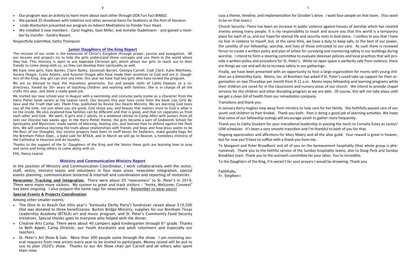#### Junior Daughters of the King Report

The mission of our order is the extension of Christ's Kingdom through prayer, service and evangelism. All our lessons and projects try to help the girls understand these concepts and use them in the world where they live. This ministry is open to any baptized Christian girl, which allows our girls to reach out to their friends to come along with us, so they can develop their spirituality as well.

We are so blessed to have the marvelous generosity, fun and people skills of Cathy Dawson as a codirectress, honed by 30+ years of teaching children and working with families. She is in charge of all the crafts this year, and done a really good job.

We have nine girls, Kate Barnes, Claire Bailey, Savannah Barnes, Georgia Carroll, Codi Clark, Katie Matthews, Aurora Osagie, Grace Adams, and Autumn Osagie who have made their promises to God and are Jr. Daughters of the King. Any girl can visit any time; this year we have had two girls who have visited the program.

Newcomer Tracking and Integration. There were about 20 "newcomers" to St. Peter's in 2019. There were many more visitors. My system to greet and track visitors – "Invite, Welcome, Connect" has been ongoing. I also prepare the name tags for newcomers. Remember to wear yours!

We started our new school year in August with a swimming and costume party (come as a character from the Harry Potter book series) at the Leaton ranch. Our lessons this year have come from the book *Lies Girls Believe and the Truth that sets Them Free,* published by Revive Our Hearts Ministry. We are learning God loves you all the time, not just when you are good, God chose you, and beauty that matters most to God is what is on the inside. We also explored how families can be different and that is good, and that sin separates us from each other and God. We went, 8 girls and 2 adults, to a weekend retreat to Camp Allen with Juniors from all over our Diocese two weeks ago. In the Harry Potter theme, the girls became a part of Godwords School for Spirituality and Mysticism, made wands of blessing, healing oils, and learned how to defend against the Dark Arts. We will continue learning the truth about relationships with friends and boys and how Jesus wants to be the Boss of our thoughts. Our service projects have been to stuff boxes for Seafarers, make goodie bags for the Brenham Police Dept., a bake sale for BTXLA, and in March we will go to Beacon, a homeless ministry of the Cathedral in Houston and do laundry.

Thanks to the support of the Sr. Daughters of the King and the Vestry these girls are learning how to pray and serve and bring others to come along with us.

FHS, Nancy Leaton

## Ministry and Communication Ministry Report

In the position of Ministry and Communication Coordinator, I work collaboratively with the rector, staff, vestry, ministry teams and volunteers in four main areas: newcomer integration, special events planning, communication (external & internal) and coordination and reporting of ministries.

#### Special Events & Projects Coordination

Among other smaller events:

- The Dine In to Reach Out (this year's "Kentucky Derby Party") fundraiser raised about \$10,500 that was donated to three beneficiaries: Burton Bridge Ministry, supplies for our Brenham Texas Leadership Academy (BTXLA) art and music program, and St. Peter's Community Food Security Initiatives. Special thanks goes to everyone who helped with the dinner.
- Creative Arts Camp. There were about 40 campers aged kindergarten through  $6<sup>th</sup>$  grade. Thanks to Beth Appel, Camp Director, our Youth Assistants and adult volunteers and especially our teachers.
- St. Peter's Art Show & Sale. More than 300 people came through the show. I am receiving several requests from new artists every year to be invited to participate. Money raised will be put to use to plan 2020's show. Thanks to our Art Show chair Jan Carroll and all others who spent their time.
- Our program was an activity to learn more about each other through DOK Fun Fact BINGO.
- We packed 25 shoeboxes with toiletries and other personal items for Seafarers at the Port of Houston.
- Linda Warburton presented our program on Advent Meditations to Ponder Your Heart.
- We installed 3 new members Carol Hughes, Gale Miller, and Annette Stadelmann and gained a member by transfer - Sandra Nauert.

Respectfully submitted, Kathy Thompson

cuss a theme, timeline, and implementation for October's drive. I want four people on that team. (You want to be on that team.)

Church Security- There has been an increase in public violence against houses of worship which has created anxiety among many people. It is my responsibility to teach and assure you that this world is a temporary place for each of us, and our hope for eternal life and security rests in God alone. I confess to you that I have no fear in violence to myself, but, at the same time, we have a duty to keep safe, to the best of our power, the sanctity of our fellowship, worship, and lives of those entrusted to our care. As such there is renewed fervor to create a written policy and plan of action for surveying and monitoring safety in our buildings during worship. I intend to form a steering committee to evaluate diocesan policies and local practices that will provide a written policy and procedure for St. Peter's. While no open space is perfectly safe from violence, there are things we can and will do to increase safety in our gatherings.

Finally, we have been presented with an opportunity to host a large organization for moms with young children on a bimonthly basis. Moms, Inc. of Brenham has asked if St. Peter's could take up support for their organization on two Thursdays per month from 9-11 a.m. Moms enjoy fellowship and learning programs while their children are cared for in the classrooms and nursery areas of our church. We intend to provide chapel services for the children and other discipling program as we are able. Of course, this will not take place until we get a clean bill of health from our remediation company. Transitions and thank you.

In January Kerry Hughes step away from ministry to help care for her family. She faithfully passed care of our youth and children to Pam Knebel. Thank you both. Pam is doing a good job of planning activities. We hope that some of our fellowship outings will encourage youth to gather more frequently.

Thank you to Cathy Stuckert for your transitional leadership in passing the torch to Cornelia Estey as Lector/ LEM scheduler. It's been a very smooth transition and I'm thankful to both of you for that.

Ongoing appreciation and affections for Mary Mabry and all the altar guild. Your reward is great in heaven, but for now you'll have to suffice with a thank you from me.

To Margaret and Peter Broadbent and all of you on the bereavement hospitality (that whole group is phenomenal). Thank you to the faithful service of the Sunday hospitality teams, also to Doug Peck and Sunday Breakfast team. Thank you to the outreach committee for your labor. You're incredible.

To the Daughters of the King, if it weren't for your prayers I would be drowning. Thank you.

Faithfully, Fr. Stephen+